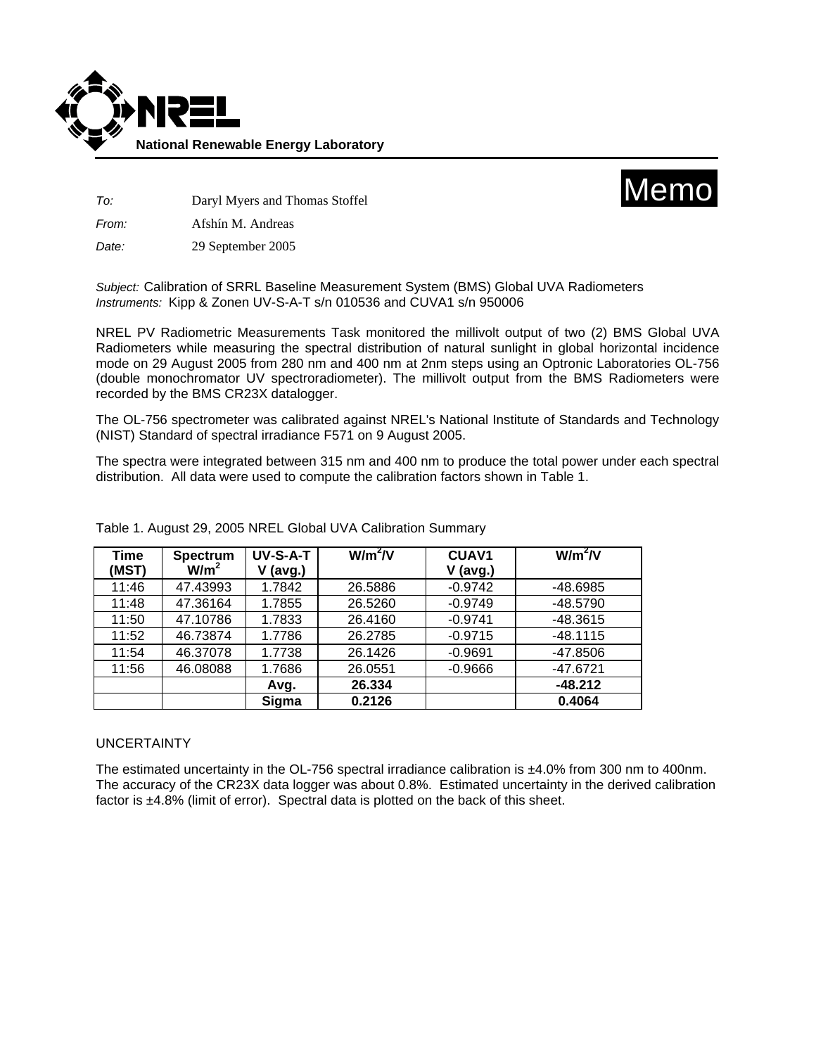



*To:* Daryl Myers and Thomas Stoffel

*From:* Afshín M. Andreas

*Date:* 29 September 2005

*Subject:* Calibration of SRRL Baseline Measurement System (BMS) Global UVA Radiometers *Instruments:* Kipp & Zonen UV-S-A-T s/n 010536 and CUVA1 s/n 950006

NREL PV Radiometric Measurements Task monitored the millivolt output of two (2) BMS Global UVA Radiometers while measuring the spectral distribution of natural sunlight in global horizontal incidence mode on 29 August 2005 from 280 nm and 400 nm at 2nm steps using an Optronic Laboratories OL-756 (double monochromator UV spectroradiometer). The millivolt output from the BMS Radiometers were recorded by the BMS CR23X datalogger.

The OL-756 spectrometer was calibrated against NREL's National Institute of Standards and Technology (NIST) Standard of spectral irradiance F571 on 9 August 2005.

The spectra were integrated between 315 nm and 400 nm to produce the total power under each spectral distribution. All data were used to compute the calibration factors shown in Table 1.

| Time<br>(MST) | <b>Spectrum</b><br>W/m <sup>2</sup> | UV-S-A-T<br>$V$ (avg.) | $W/m^2/V$ | <b>CUAV1</b><br>$V$ (avg.) | $W/m^2/N$  |
|---------------|-------------------------------------|------------------------|-----------|----------------------------|------------|
| 11:46         | 47.43993                            | 1.7842                 | 26.5886   | $-0.9742$                  | $-48.6985$ |
| 11:48         | 47.36164                            | 1.7855                 | 26.5260   | $-0.9749$                  | $-48.5790$ |
| 11:50         | 47.10786                            | 1.7833                 | 26.4160   | $-0.9741$                  | $-48.3615$ |
| 11:52         | 46.73874                            | 1.7786                 | 26.2785   | $-0.9715$                  | $-48.1115$ |
| 11:54         | 46.37078                            | 1.7738                 | 26.1426   | $-0.9691$                  | $-47.8506$ |
| 11:56         | 46.08088                            | 1.7686                 | 26.0551   | $-0.9666$                  | $-47.6721$ |
|               |                                     | Avg.                   | 26.334    |                            | $-48.212$  |
|               |                                     | Sigma                  | 0.2126    |                            | 0.4064     |

Table 1. August 29, 2005 NREL Global UVA Calibration Summary

## UNCERTAINTY

The estimated uncertainty in the OL-756 spectral irradiance calibration is ±4.0% from 300 nm to 400nm. The accuracy of the CR23X data logger was about 0.8%. Estimated uncertainty in the derived calibration factor is ±4.8% (limit of error). Spectral data is plotted on the back of this sheet.